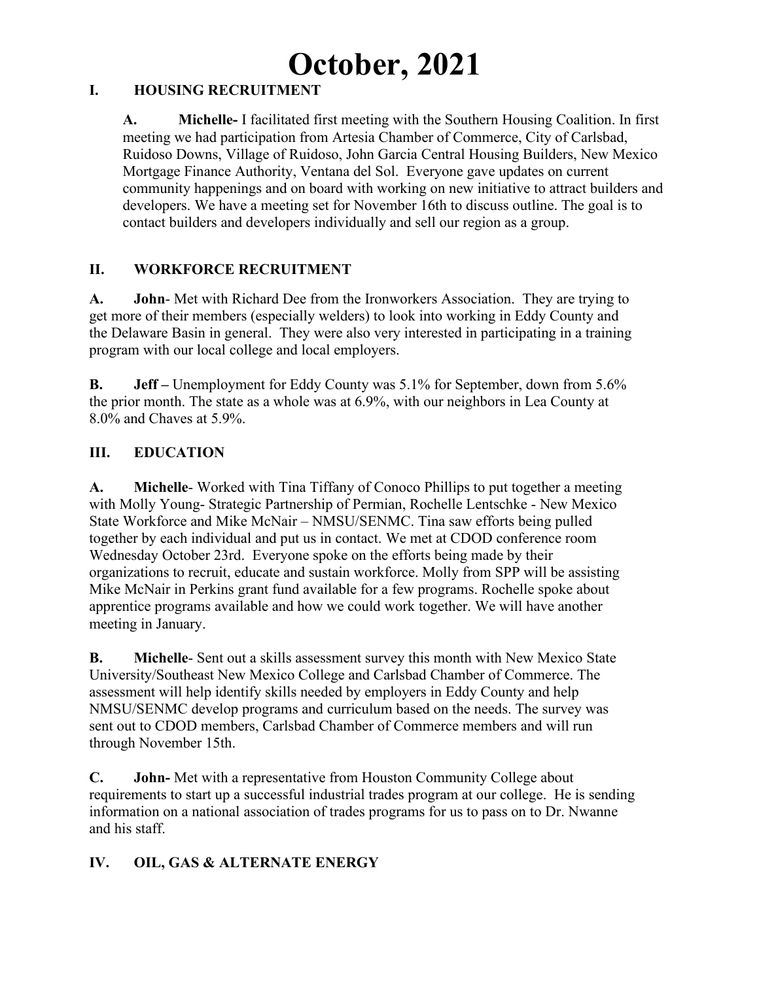# **October, 2021**

#### **I. HOUSING RECRUITMENT**

**A. Michelle-** I facilitated first meeting with the Southern Housing Coalition. In first meeting we had participation from Artesia Chamber of Commerce, City of Carlsbad, Ruidoso Downs, Village of Ruidoso, John Garcia Central Housing Builders, New Mexico Mortgage Finance Authority, Ventana del Sol. Everyone gave updates on current community happenings and on board with working on new initiative to attract builders and developers. We have a meeting set for November 16th to discuss outline. The goal is to contact builders and developers individually and sell our region as a group.

## **II. WORKFORCE RECRUITMENT**

**A. John**- Met with Richard Dee from the Ironworkers Association. They are trying to get more of their members (especially welders) to look into working in Eddy County and the Delaware Basin in general. They were also very interested in participating in a training program with our local college and local employers.

**B. Jeff –** Unemployment for Eddy County was 5.1% for September, down from 5.6% the prior month. The state as a whole was at 6.9%, with our neighbors in Lea County at 8.0% and Chaves at 5.9%.

## **III. EDUCATION**

**A. Michelle**- Worked with Tina Tiffany of Conoco Phillips to put together a meeting with Molly Young- Strategic Partnership of Permian, Rochelle Lentschke - New Mexico State Workforce and Mike McNair – NMSU/SENMC. Tina saw efforts being pulled together by each individual and put us in contact. We met at CDOD conference room Wednesday October 23rd. Everyone spoke on the efforts being made by their organizations to recruit, educate and sustain workforce. Molly from SPP will be assisting Mike McNair in Perkins grant fund available for a few programs. Rochelle spoke about apprentice programs available and how we could work together. We will have another meeting in January.

**B. Michelle**- Sent out a skills assessment survey this month with New Mexico State University/Southeast New Mexico College and Carlsbad Chamber of Commerce. The assessment will help identify skills needed by employers in Eddy County and help NMSU/SENMC develop programs and curriculum based on the needs. The survey was sent out to CDOD members, Carlsbad Chamber of Commerce members and will run through November 15th.

**C. John-** Met with a representative from Houston Community College about requirements to start up a successful industrial trades program at our college. He is sending information on a national association of trades programs for us to pass on to Dr. Nwanne and his staff.

# **IV. OIL, GAS & ALTERNATE ENERGY**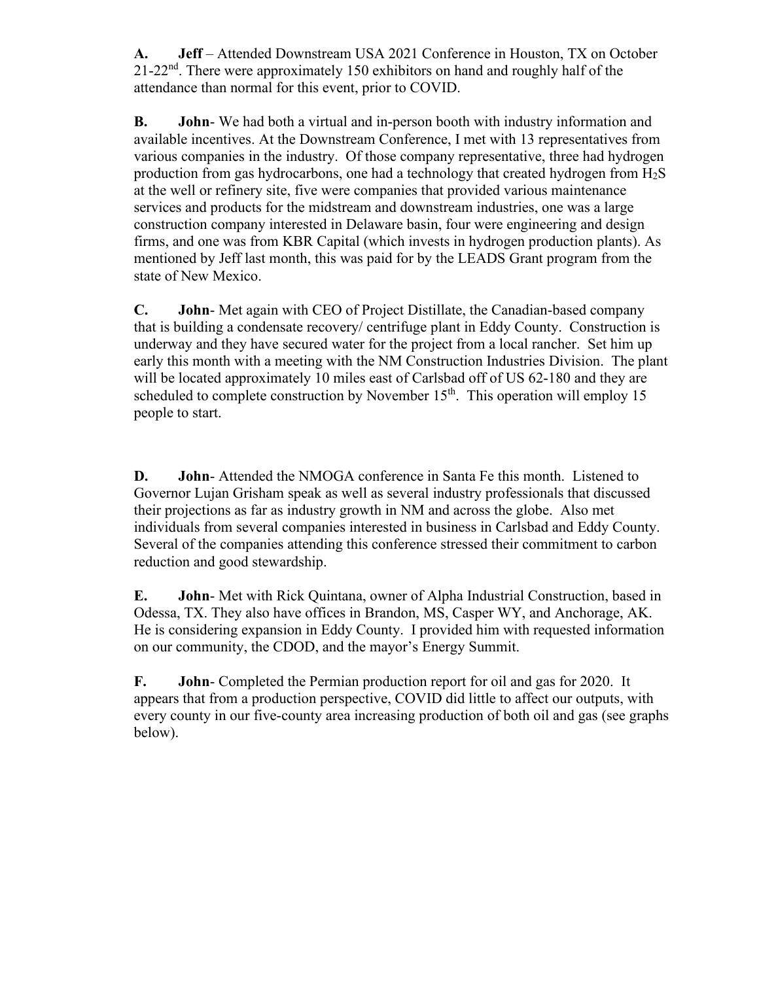**A. Jeff** – Attended Downstream USA 2021 Conference in Houston, TX on October  $21-22<sup>nd</sup>$ . There were approximately 150 exhibitors on hand and roughly half of the attendance than normal for this event, prior to COVID.

**B. John**- We had both a virtual and in-person booth with industry information and available incentives. At the Downstream Conference, I met with 13 representatives from various companies in the industry. Of those company representative, three had hydrogen production from gas hydrocarbons, one had a technology that created hydrogen from  $H_2S$ at the well or refinery site, five were companies that provided various maintenance services and products for the midstream and downstream industries, one was a large construction company interested in Delaware basin, four were engineering and design firms, and one was from KBR Capital (which invests in hydrogen production plants). As mentioned by Jeff last month, this was paid for by the LEADS Grant program from the state of New Mexico.

**C. John**- Met again with CEO of Project Distillate, the Canadian-based company that is building a condensate recovery/ centrifuge plant in Eddy County. Construction is underway and they have secured water for the project from a local rancher. Set him up early this month with a meeting with the NM Construction Industries Division. The plant will be located approximately 10 miles east of Carlsbad off of US 62-180 and they are scheduled to complete construction by November  $15<sup>th</sup>$ . This operation will employ 15 people to start.

**D. John**- Attended the NMOGA conference in Santa Fe this month. Listened to Governor Lujan Grisham speak as well as several industry professionals that discussed their projections as far as industry growth in NM and across the globe. Also met individuals from several companies interested in business in Carlsbad and Eddy County. Several of the companies attending this conference stressed their commitment to carbon reduction and good stewardship.

**E. John**- Met with Rick Quintana, owner of Alpha Industrial Construction, based in Odessa, TX. They also have offices in Brandon, MS, Casper WY, and Anchorage, AK. He is considering expansion in Eddy County. I provided him with requested information on our community, the CDOD, and the mayor's Energy Summit.

**F. John**- Completed the Permian production report for oil and gas for 2020. It appears that from a production perspective, COVID did little to affect our outputs, with every county in our five-county area increasing production of both oil and gas (see graphs below).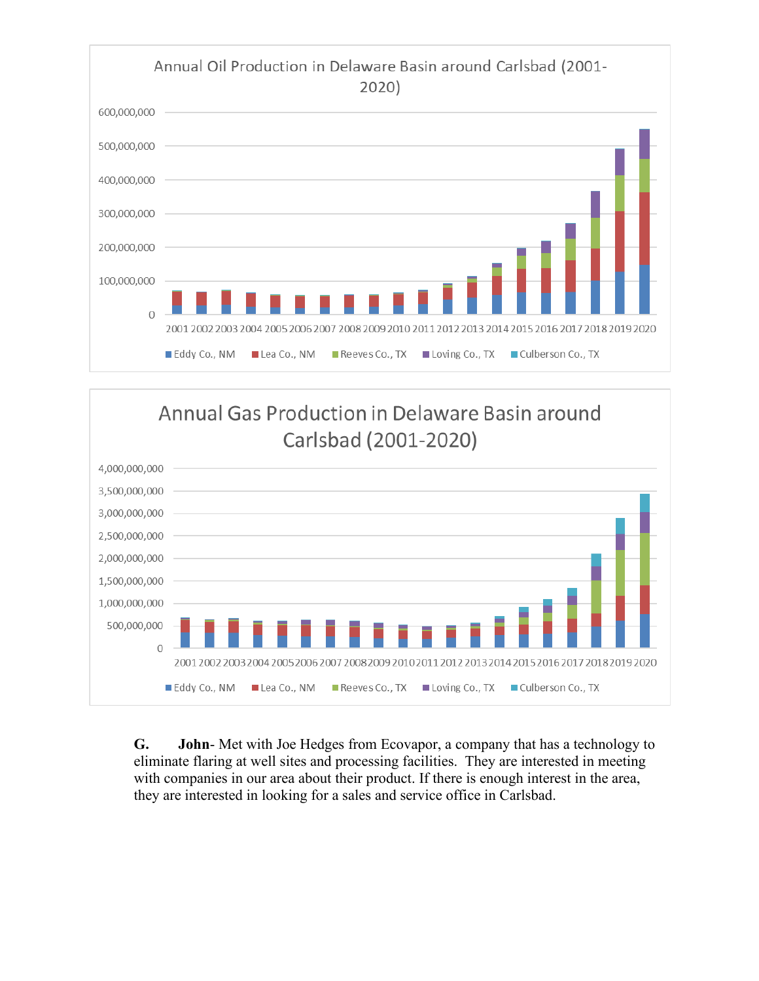



**G. John**- Met with Joe Hedges from Ecovapor, a company that has a technology to eliminate flaring at well sites and processing facilities. They are interested in meeting with companies in our area about their product. If there is enough interest in the area, they are interested in looking for a sales and service office in Carlsbad.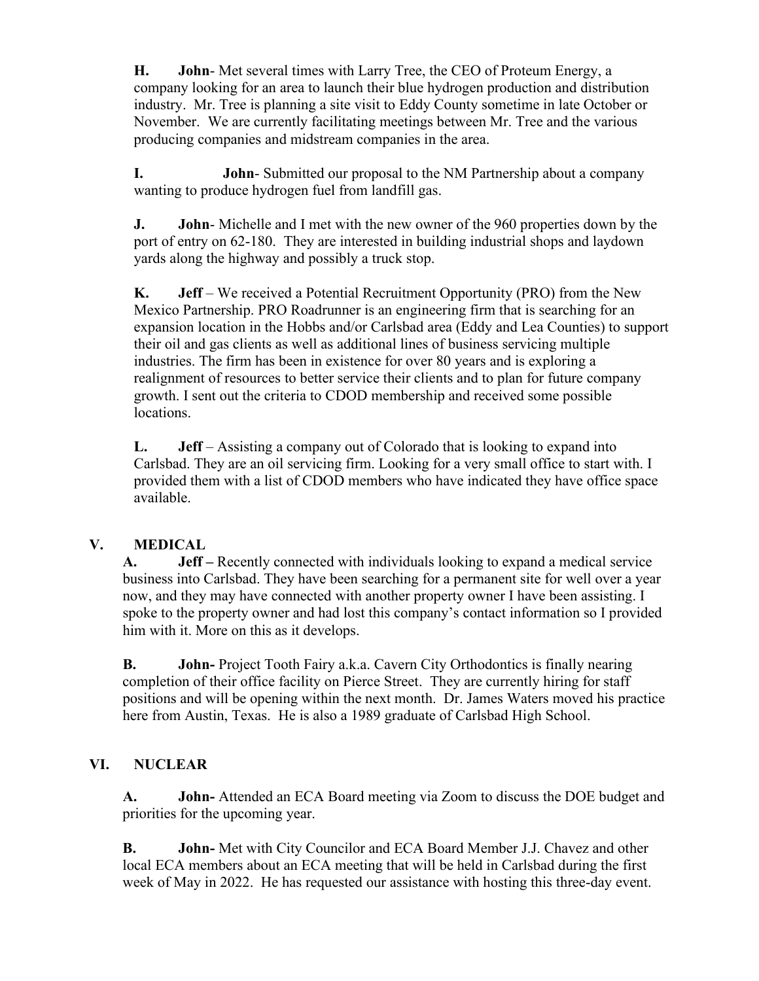**H. John**- Met several times with Larry Tree, the CEO of Proteum Energy, a company looking for an area to launch their blue hydrogen production and distribution industry. Mr. Tree is planning a site visit to Eddy County sometime in late October or November. We are currently facilitating meetings between Mr. Tree and the various producing companies and midstream companies in the area.

**I. John**- Submitted our proposal to the NM Partnership about a company wanting to produce hydrogen fuel from landfill gas.

**J. John**- Michelle and I met with the new owner of the 960 properties down by the port of entry on 62-180. They are interested in building industrial shops and laydown yards along the highway and possibly a truck stop.

**K. Jeff** – We received a Potential Recruitment Opportunity (PRO) from the New Mexico Partnership. PRO Roadrunner is an engineering firm that is searching for an expansion location in the Hobbs and/or Carlsbad area (Eddy and Lea Counties) to support their oil and gas clients as well as additional lines of business servicing multiple industries. The firm has been in existence for over 80 years and is exploring a realignment of resources to better service their clients and to plan for future company growth. I sent out the criteria to CDOD membership and received some possible locations.

**L. Jeff** – Assisting a company out of Colorado that is looking to expand into Carlsbad. They are an oil servicing firm. Looking for a very small office to start with. I provided them with a list of CDOD members who have indicated they have office space available.

## **V. MEDICAL**

**A. Jeff –** Recently connected with individuals looking to expand a medical service business into Carlsbad. They have been searching for a permanent site for well over a year now, and they may have connected with another property owner I have been assisting. I spoke to the property owner and had lost this company's contact information so I provided him with it. More on this as it develops.

**B. John-** Project Tooth Fairy a.k.a. Cavern City Orthodontics is finally nearing completion of their office facility on Pierce Street. They are currently hiring for staff positions and will be opening within the next month. Dr. James Waters moved his practice here from Austin, Texas. He is also a 1989 graduate of Carlsbad High School.

# **VI. NUCLEAR**

**A. John-** Attended an ECA Board meeting via Zoom to discuss the DOE budget and priorities for the upcoming year.

**B. John-** Met with City Councilor and ECA Board Member J.J. Chavez and other local ECA members about an ECA meeting that will be held in Carlsbad during the first week of May in 2022. He has requested our assistance with hosting this three-day event.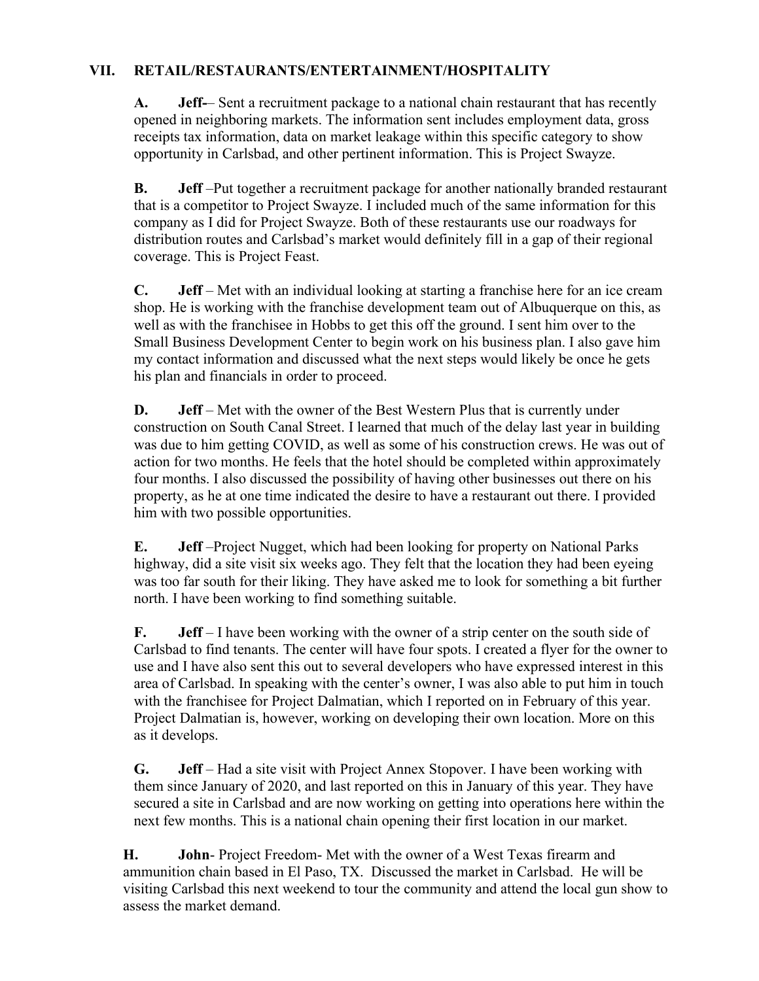#### **VII. RETAIL/RESTAURANTS/ENTERTAINMENT/HOSPITALITY**

**A. Jeff-**– Sent a recruitment package to a national chain restaurant that has recently opened in neighboring markets. The information sent includes employment data, gross receipts tax information, data on market leakage within this specific category to show opportunity in Carlsbad, and other pertinent information. This is Project Swayze.

**B. Jeff** –Put together a recruitment package for another nationally branded restaurant that is a competitor to Project Swayze. I included much of the same information for this company as I did for Project Swayze. Both of these restaurants use our roadways for distribution routes and Carlsbad's market would definitely fill in a gap of their regional coverage. This is Project Feast.

**C. Jeff** – Met with an individual looking at starting a franchise here for an ice cream shop. He is working with the franchise development team out of Albuquerque on this, as well as with the franchisee in Hobbs to get this off the ground. I sent him over to the Small Business Development Center to begin work on his business plan. I also gave him my contact information and discussed what the next steps would likely be once he gets his plan and financials in order to proceed.

**D. Jeff** – Met with the owner of the Best Western Plus that is currently under construction on South Canal Street. I learned that much of the delay last year in building was due to him getting COVID, as well as some of his construction crews. He was out of action for two months. He feels that the hotel should be completed within approximately four months. I also discussed the possibility of having other businesses out there on his property, as he at one time indicated the desire to have a restaurant out there. I provided him with two possible opportunities.

**E. Jeff** –Project Nugget, which had been looking for property on National Parks highway, did a site visit six weeks ago. They felt that the location they had been eyeing was too far south for their liking. They have asked me to look for something a bit further north. I have been working to find something suitable.

**F. Jeff** – I have been working with the owner of a strip center on the south side of Carlsbad to find tenants. The center will have four spots. I created a flyer for the owner to use and I have also sent this out to several developers who have expressed interest in this area of Carlsbad. In speaking with the center's owner, I was also able to put him in touch with the franchisee for Project Dalmatian, which I reported on in February of this year. Project Dalmatian is, however, working on developing their own location. More on this as it develops.

**G. Jeff** – Had a site visit with Project Annex Stopover. I have been working with them since January of 2020, and last reported on this in January of this year. They have secured a site in Carlsbad and are now working on getting into operations here within the next few months. This is a national chain opening their first location in our market.

**H. John**- Project Freedom- Met with the owner of a West Texas firearm and ammunition chain based in El Paso, TX. Discussed the market in Carlsbad. He will be visiting Carlsbad this next weekend to tour the community and attend the local gun show to assess the market demand.